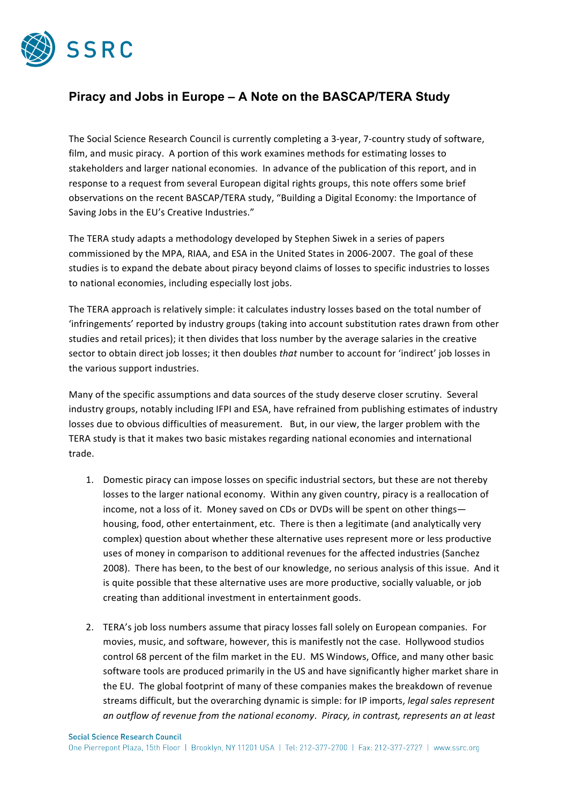

## **Piracy and Jobs in Europe – A Note on the BASCAP/TERA Study**

The Social Science Research Council is currently completing a 3-year, 7-country study of software, film, and music piracy. A portion of this work examines methods for estimating losses to stakeholders and larger national economies. In advance of the publication of this report, and in response to a request from several European digital rights groups, this note offers some brief observations on the recent BASCAP/TERA study, "Building a Digital Economy: the Importance of Saving Jobs in the EU's Creative Industries."

The TERA study adapts a methodology developed by Stephen Siwek in a series of papers commissioned by the MPA, RIAA, and ESA in the United States in 2006-2007. The goal of these studies is to expand the debate about piracy beyond claims of losses to specific industries to losses to national economies, including especially lost jobs.

The TERA approach is relatively simple: it calculates industry losses based on the total number of 'infringements' reported by industry groups (taking into account substitution rates drawn from other studies and retail prices); it then divides that loss number by the average salaries in the creative sector to obtain direct job losses; it then doubles *that* number to account for 'indirect' job losses in the various support industries.

Many of the specific assumptions and data sources of the study deserve closer scrutiny. Several industry groups, notably including IFPI and ESA, have refrained from publishing estimates of industry losses due to obvious difficulties of measurement. But, in our view, the larger problem with the TERA study is that it makes two basic mistakes regarding national economies and international trade.

- 1. Domestic piracy can impose losses on specific industrial sectors, but these are not thereby losses to the larger national economy. Within any given country, piracy is a reallocation of income, not a loss of it. Money saved on CDs or DVDs will be spent on other things housing, food, other entertainment, etc. There is then a legitimate (and analytically very complex) question about whether these alternative uses represent more or less productive uses of money in comparison to additional revenues for the affected industries (Sanchez 2008). There has been, to the best of our knowledge, no serious analysis of this issue. And it is quite possible that these alternative uses are more productive, socially valuable, or job creating than additional investment in entertainment goods.
- 2. TERA's job loss numbers assume that piracy losses fall solely on European companies. For movies, music, and software, however, this is manifestly not the case. Hollywood studios control 68 percent of the film market in the EU. MS Windows, Office, and many other basic software tools are produced primarily in the US and have significantly higher market share in the EU. The global footprint of many of these companies makes the breakdown of revenue streams difficult, but the overarching dynamic is simple: for IP imports, *legal sales represent an'outflow'of'revenue'from'the'national'economy*.\$\$*Piracy,'in'contrast,'represents'an'at'least'*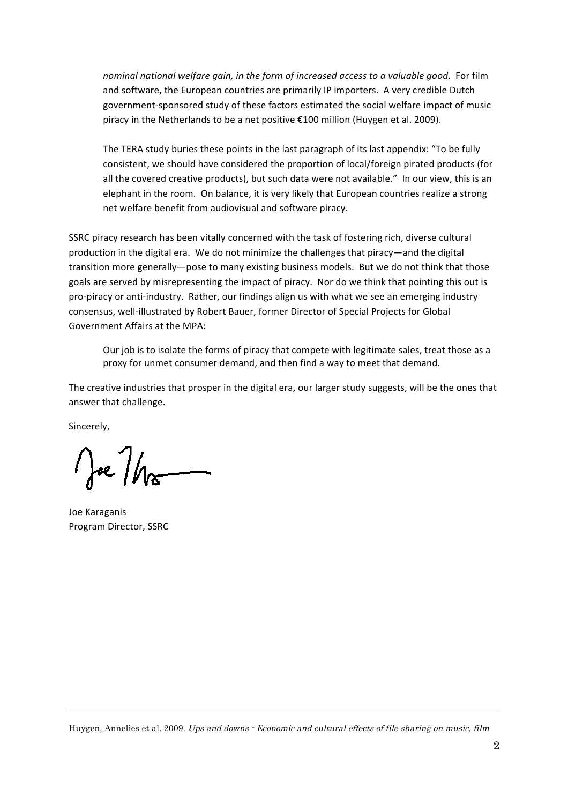nominal national welfare gain, in the form of increased access to a valuable good. For film and software, the European countries are primarily IP importers. A very credible Dutch government-sponsored study of these factors estimated the social welfare impact of music piracy in the Netherlands to be a net positive €100 million (Huygen et al. 2009).

The TERA study buries these points in the last paragraph of its last appendix: "To be fully consistent, we should have considered the proportion of local/foreign pirated products (for all the covered creative products), but such data were not available." In our view, this is an elephant in the room. On balance, it is very likely that European countries realize a strong net welfare benefit from audiovisual and software piracy.

SSRC piracy research has been vitally concerned with the task of fostering rich, diverse cultural production in the digital era. We do not minimize the challenges that piracy—and the digital transition more generally-pose to many existing business models. But we do not think that those goals are served by misrepresenting the impact of piracy. Nor do we think that pointing this out is pro-piracy or anti-industry. Rather, our findings align us with what we see an emerging industry consensus, well-illustrated by Robert Bauer, former Director of Special Projects for Global Government Affairs at the MPA:

Our job is to isolate the forms of piracy that compete with legitimate sales, treat those as a proxy for unmet consumer demand, and then find a way to meet that demand.

The creative industries that prosper in the digital era, our larger study suggests, will be the ones that answer that challenge.

Sincerely.

Joe / ho

Joe Karaganis Program Director, SSRC

Huygen, Annelies et al. 2009. Ups and downs - Economic and cultural effects of file sharing on music, film